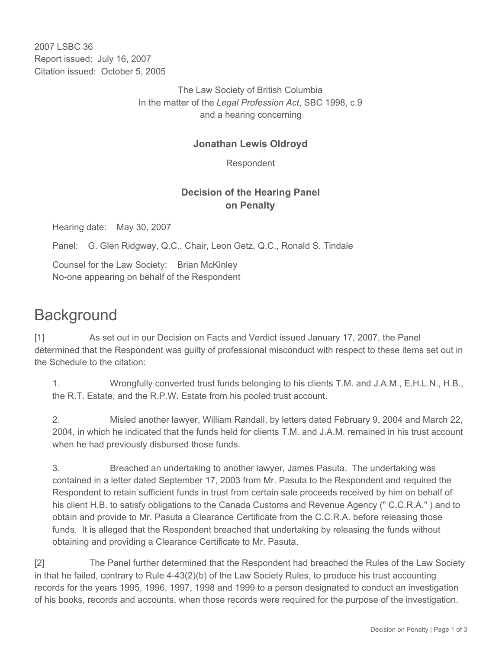2007 LSBC 36 Report issued: July 16, 2007 Citation issued: October 5, 2005

> The Law Society of British Columbia In the matter of the *Legal Profession Act*, SBC 1998, c.9 and a hearing concerning

## **Jonathan Lewis Oldroyd**

Respondent

## **Decision of the Hearing Panel on Penalty**

Hearing date: May 30, 2007

Panel: G. Glen Ridgway, Q.C., Chair, Leon Getz, Q.C., Ronald S. Tindale

Counsel for the Law Society: Brian McKinley No-one appearing on behalf of the Respondent

## **Background**

[1] As set out in our Decision on Facts and Verdict issued January 17, 2007, the Panel determined that the Respondent was guilty of professional misconduct with respect to these items set out in the Schedule to the citation:

1. Wrongfully converted trust funds belonging to his clients T.M. and J.A.M., E.H.L.N., H.B., the R.T. Estate, and the R.P.W. Estate from his pooled trust account.

2. Misled another lawyer, William Randall, by letters dated February 9, 2004 and March 22, 2004, in which he indicated that the funds held for clients T.M. and J.A.M. remained in his trust account when he had previously disbursed those funds.

3. Breached an undertaking to another lawyer, James Pasuta. The undertaking was contained in a letter dated September 17, 2003 from Mr. Pasuta to the Respondent and required the Respondent to retain sufficient funds in trust from certain sale proceeds received by him on behalf of his client H.B. to satisfy obligations to the Canada Customs and Revenue Agency (" C.C.R.A." ) and to obtain and provide to Mr. Pasuta a Clearance Certificate from the C.C.R.A. before releasing those funds. It is alleged that the Respondent breached that undertaking by releasing the funds without obtaining and providing a Clearance Certificate to Mr. Pasuta.

[2] The Panel further determined that the Respondent had breached the Rules of the Law Society in that he failed, contrary to Rule 4-43(2)(b) of the Law Society Rules, to produce his trust accounting records for the years 1995, 1996, 1997, 1998 and 1999 to a person designated to conduct an investigation of his books, records and accounts, when those records were required for the purpose of the investigation.